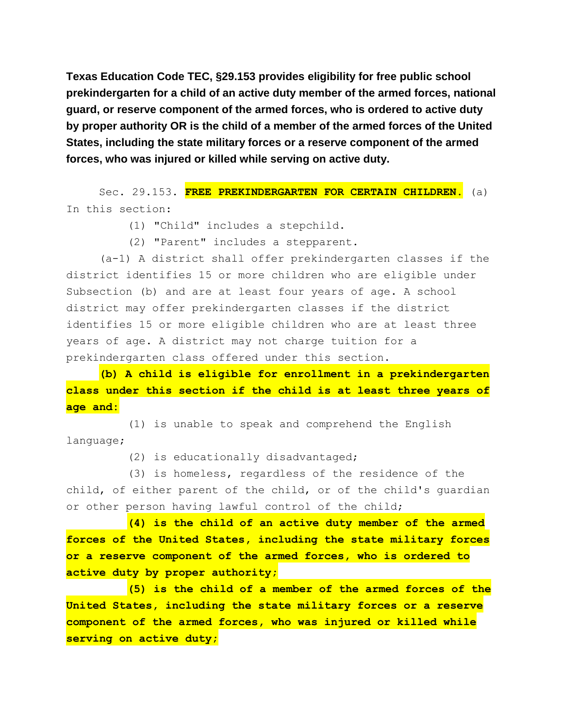**Texas Education Code TEC, §29.153 provides eligibility for free public school prekindergarten for a child of an active duty member of the armed forces, national guard, or reserve component of the armed forces, who is ordered to active duty by proper authority OR is the child of a member of the armed forces of the United States, including the state military forces or a reserve component of the armed forces, who was injured or killed while serving on active duty.**

Sec. 29.153. **FREE PREKINDERGARTEN FOR CERTAIN CHILDREN.** (a) In this section:

- (1) "Child" includes a stepchild.
- (2) "Parent" includes a stepparent.

(a-1) A district shall offer prekindergarten classes if the district identifies 15 or more children who are eligible under Subsection (b) and are at least four years of age. A school district may offer prekindergarten classes if the district identifies 15 or more eligible children who are at least three years of age. A district may not charge tuition for a prekindergarten class offered under this section.

**(b) A child is eligible for enrollment in a prekindergarten class under this section if the child is at least three years of age and:**

(1) is unable to speak and comprehend the English language;

(2) is educationally disadvantaged;

(3) is homeless, regardless of the residence of the child, of either parent of the child, or of the child's guardian or other person having lawful control of the child;

**(4) is the child of an active duty member of the armed forces of the United States, including the state military forces or a reserve component of the armed forces, who is ordered to active duty by proper authority;**

**(5) is the child of a member of the armed forces of the United States, including the state military forces or a reserve component of the armed forces, who was injured or killed while serving on active duty;**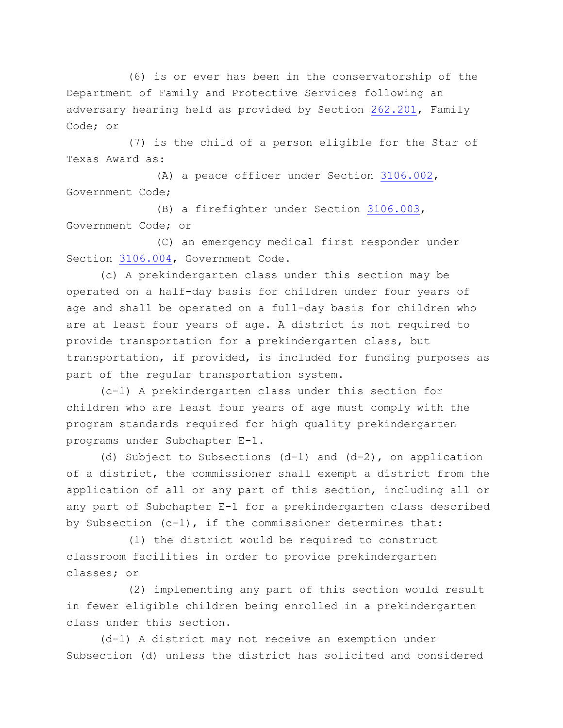(6) is or ever has been in the conservatorship of the Department of Family and Protective Services following an adversary hearing held as provided by Section [262.201,](http://www.statutes.legis.state.tx.us/GetStatute.aspx?Code=FA&Value=262.201) Family Code; or

(7) is the child of a person eligible for the Star of Texas Award as:

(A) a peace officer under Section [3106.002,](http://www.statutes.legis.state.tx.us/GetStatute.aspx?Code=GV&Value=3106.002) Government Code;

(B) a firefighter under Section [3106.003,](http://www.statutes.legis.state.tx.us/GetStatute.aspx?Code=GV&Value=3106.003) Government Code; or

(C) an emergency medical first responder under Section [3106.004,](http://www.statutes.legis.state.tx.us/GetStatute.aspx?Code=GV&Value=3106.004) Government Code.

(c) A prekindergarten class under this section may be operated on a half-day basis for children under four years of age and shall be operated on a full-day basis for children who are at least four years of age. A district is not required to provide transportation for a prekindergarten class, but transportation, if provided, is included for funding purposes as part of the regular transportation system.

(c-1) A prekindergarten class under this section for children who are least four years of age must comply with the program standards required for high quality prekindergarten programs under Subchapter E-1.

(d) Subject to Subsections (d-1) and (d-2), on application of a district, the commissioner shall exempt a district from the application of all or any part of this section, including all or any part of Subchapter E-1 for a prekindergarten class described by Subsection (c-1), if the commissioner determines that:

(1) the district would be required to construct classroom facilities in order to provide prekindergarten classes; or

(2) implementing any part of this section would result in fewer eligible children being enrolled in a prekindergarten class under this section.

(d-1) A district may not receive an exemption under Subsection (d) unless the district has solicited and considered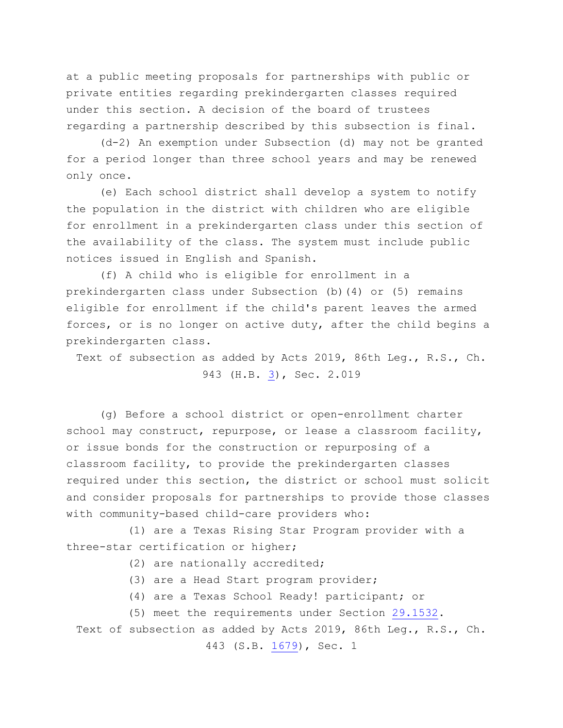at a public meeting proposals for partnerships with public or private entities regarding prekindergarten classes required under this section. A decision of the board of trustees regarding a partnership described by this subsection is final.

(d-2) An exemption under Subsection (d) may not be granted for a period longer than three school years and may be renewed only once.

(e) Each school district shall develop a system to notify the population in the district with children who are eligible for enrollment in a prekindergarten class under this section of the availability of the class. The system must include public notices issued in English and Spanish.

(f) A child who is eligible for enrollment in a prekindergarten class under Subsection (b)(4) or (5) remains eligible for enrollment if the child's parent leaves the armed forces, or is no longer on active duty, after the child begins a prekindergarten class.

Text of subsection as added by Acts 2019, 86th Leg., R.S., Ch. 943 (H.B. [3\)](http://www.legis.state.tx.us/tlodocs/86R/billtext/html/HB00003F.HTM), Sec. 2.019

(g) Before a school district or open-enrollment charter school may construct, repurpose, or lease a classroom facility, or issue bonds for the construction or repurposing of a classroom facility, to provide the prekindergarten classes required under this section, the district or school must solicit and consider proposals for partnerships to provide those classes with community-based child-care providers who:

(1) are a Texas Rising Star Program provider with a three-star certification or higher;

(2) are nationally accredited;

(3) are a Head Start program provider;

(4) are a Texas School Ready! participant; or

(5) meet the requirements under Section [29.1532.](http://www.statutes.legis.state.tx.us/GetStatute.aspx?Code=ED&Value=29.1532)

Text of subsection as added by Acts 2019, 86th Leg., R.S., Ch.

443 (S.B. [1679\)](http://www.legis.state.tx.us/tlodocs/86R/billtext/html/SB01679F.HTM), Sec. 1